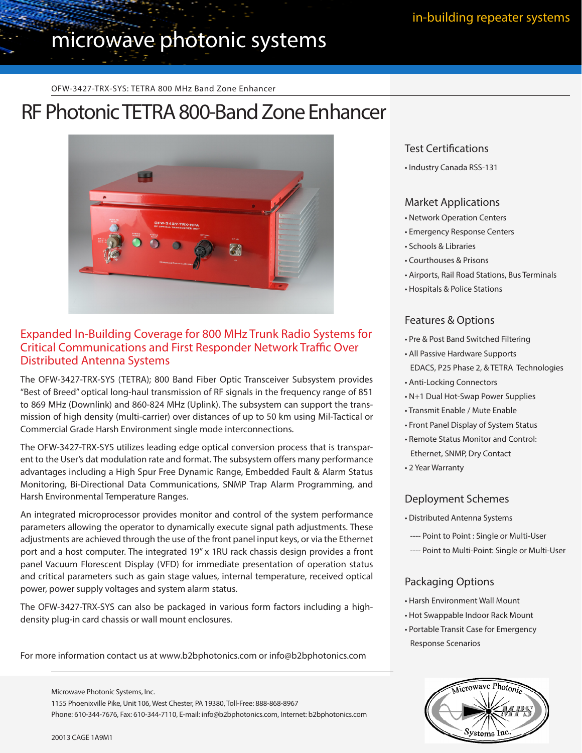# microwave photonic systems

OFW-3427-TRX-SYS: TETRA 800 MHz Band Zone Enhancer

## RF Photonic TETRA 800-Band Zone Enhancer



## Expanded In-Building Coverage for 800 MHz Trunk Radio Systems for Critical Communications and First Responder Network Traffic Over Distributed Antenna Systems

The OFW-3427-TRX-SYS (TETRA); 800 Band Fiber Optic Transceiver Subsystem provides "Best of Breed" optical long-haul transmission of RF signals in the frequency range of 851 to 869 MHz (Downlink) and 860-824 MHz (Uplink). The subsystem can support the transmission of high density (multi-carrier) over distances of up to 50 km using Mil-Tactical or Commercial Grade Harsh Environment single mode interconnections.

The OFW-3427-TRX-SYS utilizes leading edge optical conversion process that is transparent to the User's dat modulation rate and format. The subsystem offers many performance advantages including a High Spur Free Dynamic Range, Embedded Fault & Alarm Status Monitoring, Bi-Directional Data Communications, SNMP Trap Alarm Programming, and Harsh Environmental Temperature Ranges.

An integrated microprocessor provides monitor and control of the system performance parameters allowing the operator to dynamically execute signal path adjustments. These adjustments are achieved through the use of the front panel input keys, or via the Ethernet port and a host computer. The integrated 19" x 1RU rack chassis design provides a front panel Vacuum Florescent Display (VFD) for immediate presentation of operation status and critical parameters such as gain stage values, internal temperature, received optical power, power supply voltages and system alarm status.

The OFW-3427-TRX-SYS can also be packaged in various form factors including a highdensity plug-in card chassis or wall mount enclosures.

For more information contact us at www.b2bphotonics.com or info@b2bphotonics.com

Phone: 610-344-7676, Fax: 610-344-7110, E-mail: info@b2bphotonics.com, Internet: b2bphotonics.com

1155 Phoenixville Pike, Unit 106, West Chester, PA 19380, Toll-Free: 888-868-8967

### Test Certifications

• Industry Canada RSS-131

#### Market Applications

- Network Operation Centers
- Emergency Response Centers
- Schools & Libraries
- Courthouses & Prisons
- Airports, Rail Road Stations, Bus Terminals
- Hospitals & Police Stations

#### Features & Options

- Pre & Post Band Switched Filtering
- All Passive Hardware Supports EDACS, P25 Phase 2, & TETRA Technologies
- Anti-Locking Connectors
- N+1 Dual Hot-Swap Power Supplies
- Transmit Enable / Mute Enable
- Front Panel Display of System Status
- Remote Status Monitor and Control: Ethernet, SNMP, Dry Contact
- 2 Year Warranty

#### Deployment Schemes

- Distributed Antenna Systems
- ---- Point to Point : Single or Multi-User
- ---- Point to Multi-Point: Single or Multi-User

### Packaging Options

- Harsh Environment Wall Mount
- Hot Swappable Indoor Rack Mount
- Portable Transit Case for Emergency Response Scenarios



Microwave Photonic Systems, Inc.